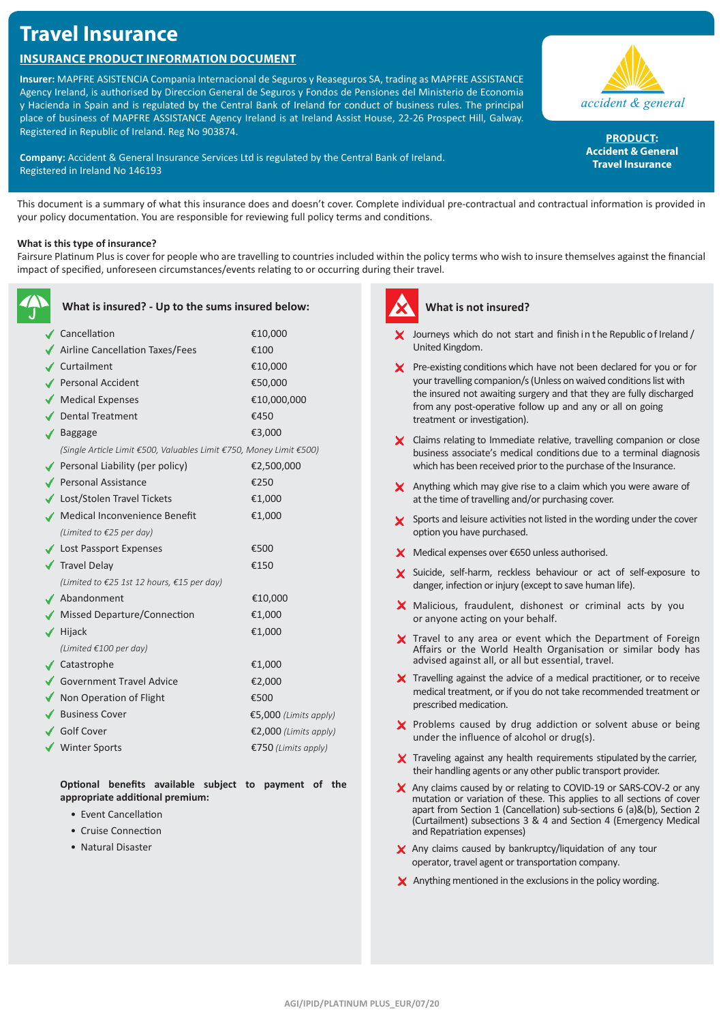# **Travel Insurance**

# **Insurance Product Information Document**

**Insurer:** MAPFRE ASISTENCIA Compania Internacional de Seguros y Reaseguros SA, trading as MAPFRE ASSISTANCE Agency Ireland, is authorised by Direccion General de Seguros y Fondos de Pensiones del Ministerio de Economia y Hacienda in Spain and is regulated by the Central Bank of Ireland for conduct of business rules. The principal place of business of MAPFRE ASSISTANCE Agency Ireland is at Ireland Assist House, 22-26 Prospect Hill, Galway. Registered in Republic of Ireland. Reg No 903874.

**Company:** Accident & General Insurance Services Ltd is regulated by the Central Bank of Ireland. Registered in Ireland No 146193

accident & general

**PRODUCT: Accident & General Travel Insurance**

This document is a summary of what this insurance does and doesn't cover. Complete individual pre-contractual and contractual information is provided in your policy documentation. You are responsible for reviewing full policy terms and conditions.

### **What is this type of insurance?**

Fairsure Platinum Plus is cover for people who are travelling to countries included within the policy terms who wish to insure themselves against the financial impact of specified, unforeseen circumstances/events relating to or occurring during their travel.

| What is insured? - Up to the sums insured below:                    |                       |
|---------------------------------------------------------------------|-----------------------|
| Cancellation                                                        | €10,000               |
| ◆ Airline Cancellation Taxes/Fees                                   | €100                  |
| ✔ Curtailment                                                       | €10,000               |
| Personal Accident                                                   | €50,000               |
| ◆ Medical Expenses                                                  | €10,000,000           |
| ◆ Dental Treatment                                                  | €450                  |
| $\sqrt{\phantom{a}}$ Baggage                                        | €3,000                |
| (Single Article Limit €500, Valuables Limit €750, Money Limit €500) |                       |
| ◆ Personal Liability (per policy)                                   | €2,500,000            |
| ◆ Personal Assistance                                               | €250                  |
| ◆ Lost/Stolen Travel Tickets                                        | €1,000                |
| √ Medical Inconvenience Benefit                                     | €1,000                |
| (Limited to $E25$ per day)                                          |                       |
| ◆ Lost Passport Expenses                                            | €500                  |
| $\sqrt{\phantom{a}}$ Travel Delay                                   | €150                  |
| (Limited to €25 1st 12 hours, €15 per day)                          |                       |
| ✔ Abandonment                                                       | €10,000               |
| ◆ Missed Departure/Connection                                       | €1,000                |
| $\blacktriangleright$ Hijack                                        | €1,000                |
| (Limited €100 per day)                                              |                       |
| $\sqrt{\phantom{a}}$ Catastrophe                                    | €1,000                |
| Government Travel Advice                                            | €2,000                |
| ◆ Non Operation of Flight                                           | €500                  |
| ◆ Business Cover                                                    | €5,000 (Limits apply) |
| ✔ Golf Cover                                                        | €2,000 (Limits apply) |
| ◆ Winter Sports                                                     | €750 (Limits apply)   |
|                                                                     |                       |

**Optional benefits available subject to payment of the appropriate additional premium:**

- Event Cancellation
- Cruise Connection
- Natural Disaster



## **What is not insured?**

- $\angle$  Journeys which do not start and finish in the Republic of Ireland / United Kingdom.
- $\boldsymbol{\times}$  Pre-existing conditions which have not been declared for you or for your travelling companion/s (Unless on waived conditions list with the insured not awaiting surgery and that they are fully discharged from any post-operative follow up and any or all on going treatment or investigation).
- X Claims relating to Immediate relative, travelling companion or close business associate's medical conditions due to a terminal diagnosis which has been received prior to the purchase of the Insurance.
- X Anything which may give rise to a claim which you were aware of at the time of travelling and/or purchasing cover.
- Sports and leisure activities not listed in the wording under the cover option you have purchased.
- X Medical expenses over €650 unless authorised.
- X Suicide, self-harm, reckless behaviour or act of self-exposure to danger, infection or injury (except to save human life).
- $\times$  Malicious, fraudulent, dishonest or criminal acts by you or anyone acting on your behalf.
- X Travel to any area or event which the Department of Foreign Affairs or the World Health Organisation or similar body has advised against all, or all but essential, travel.
- $\boldsymbol{\times}$  Travelling against the advice of a medical practitioner, or to receive medical treatment, or if you do not take recommended treatment or prescribed medication.
- X Problems caused by drug addiction or solvent abuse or being under the influence of alcohol or drug(s).
- X Traveling against any health requirements stipulated by the carrier, their handling agents or any other public transport provider.
- X Any claims caused by or relating to COVID-19 or SARS-COV-2 or any mutation or variation of these. This applies to all sections of cover apart from Section 1 (Cancellation) sub-sections 6 (a)&(b), Section 2 (Curtailment) subsections 3 & 4 and Section 4 (Emergency Medical and Repatriation expenses)
- $\times$  Any claims caused by bankruptcy/liquidation of any tour operator, travel agent or transportation company.
- $\times$  Anything mentioned in the exclusions in the policy wording.